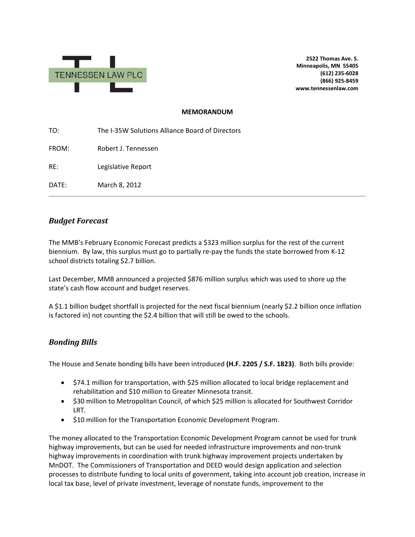

**2522 Thomas Ave. S. Minneapolis, MN 55405 (612) 235-6028 (866) 925-8459 www.tennessenlaw.com**

#### **MEMORANDUM**

TO: The I-35W Solutions Alliance Board of Directors FROM: Robert J. Tennessen RE: Legislative Report DATE: March 8, 2012

# *Budget Forecast*

The MMB's February Economic Forecast predicts a \$323 million surplus for the rest of the current biennium. By law, this surplus must go to partially re-pay the funds the state borrowed from K-12 school districts totaling \$2.7 billion.

Last December, MMB announced a projected \$876 million surplus which was used to shore up the state's cash flow account and budget reserves.

A \$1.1 billion budget shortfall is projected for the next fiscal biennium (nearly \$2.2 billion once inflation is factored in) not counting the \$2.4 billion that will still be owed to the schools.

# *Bonding Bills*

The House and Senate bonding bills have been introduced **(H.F. 2205 / S.F. 1823)**. Both bills provide:

- \$74.1 million for transportation, with \$25 million allocated to local bridge replacement and rehabilitation and \$10 million to Greater Minnesota transit.
- \$30 million to Metropolitan Council, of which \$25 million is allocated for Southwest Corridor LRT.
- \$10 million for the Transportation Economic Development Program.

The money allocated to the Transportation Economic Development Program cannot be used for trunk highway improvements, but can be used for needed infrastructure improvements and non-trunk highway improvements in coordination with trunk highway improvement projects undertaken by MnDOT. The Commissioners of Transportation and DEED would design application and selection processes to distribute funding to local units of government, taking into account job creation, increase in local tax base, level of private investment, leverage of nonstate funds, improvement to the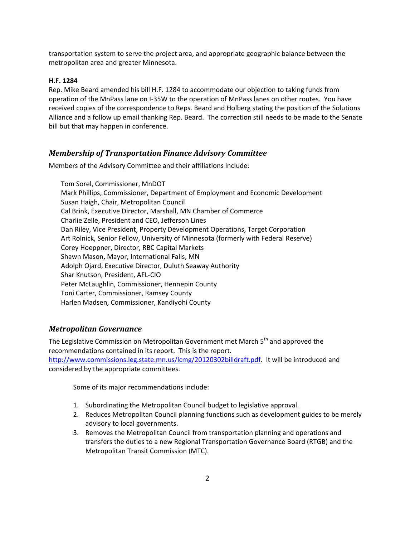transportation system to serve the project area, and appropriate geographic balance between the metropolitan area and greater Minnesota.

### **H.F. 1284**

Rep. Mike Beard amended his bill H.F. 1284 to accommodate our objection to taking funds from operation of the MnPass lane on I-35W to the operation of MnPass lanes on other routes. You have received copies of the correspondence to Reps. Beard and Holberg stating the position of the Solutions Alliance and a follow up email thanking Rep. Beard. The correction still needs to be made to the Senate bill but that may happen in conference.

### *Membership of Transportation Finance Advisory Committee*

Members of the Advisory Committee and their affiliations include:

Tom Sorel, Commissioner, MnDOT Mark Phillips, Commissioner, Department of Employment and Economic Development Susan Haigh, Chair, Metropolitan Council Cal Brink, Executive Director, Marshall, MN Chamber of Commerce Charlie Zelle, President and CEO, Jefferson Lines Dan Riley, Vice President, Property Development Operations, Target Corporation Art Rolnick, Senior Fellow, University of Minnesota (formerly with Federal Reserve) Corey Hoeppner, Director, RBC Capital Markets Shawn Mason, Mayor, International Falls, MN Adolph Ojard, Executive Director, Duluth Seaway Authority Shar Knutson, President, AFL-CIO Peter McLaughlin, Commissioner, Hennepin County Toni Carter, Commissioner, Ramsey County Harlen Madsen, Commissioner, Kandiyohi County

# *Metropolitan Governance*

The Legislative Commission on Metropolitan Government met March 5<sup>th</sup> and approved the recommendations contained in its report. This is the report. [http://www.commissions.leg.state.mn.us/lcmg/20120302billdraft.pdf.](http://www.commissions.leg.state.mn.us/lcmg/20120302billdraft.pdf) It will be introduced and considered by the appropriate committees.

Some of its major recommendations include:

- 1. Subordinating the Metropolitan Council budget to legislative approval.
- 2. Reduces Metropolitan Council planning functions such as development guides to be merely advisory to local governments.
- 3. Removes the Metropolitan Council from transportation planning and operations and transfers the duties to a new Regional Transportation Governance Board (RTGB) and the Metropolitan Transit Commission (MTC).